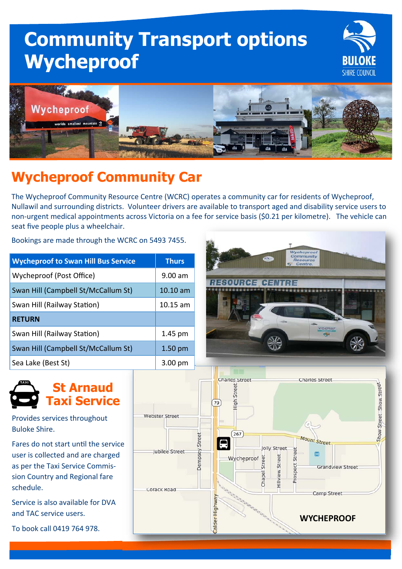# **Community Transport options Wycheproof**



WYCHEPROOF



## **Wycheproof Community Car**

The Wycheproof Community Resource Centre (WCRC) operates a community car for residents of Wycheproof, Nullawil and surrounding districts. Volunteer drivers are available to transport aged and disability service users to non-urgent medical appointments across Victoria on a fee for service basis (\$0.21 per kilometre). The vehicle can seat five people plus a wheelchair.

Bookings are made through the WCRC on 5493 7455.

| <b>Wycheproof to Swan Hill Bus Service</b> | <b>Thurs</b>       |
|--------------------------------------------|--------------------|
| Wycheproof (Post Office)                   | $9.00$ am          |
| Swan Hill (Campbell St/McCallum St)        | $10.10$ am         |
| Swan Hill (Railway Station)                | $10.15$ am         |
| <b>RETURN</b>                              |                    |
| Swan Hill (Railway Station)                | 1.45 pm            |
| Swan Hill (Campbell St/McCallum St)        | 1.50 <sub>pm</sub> |
| Sea Lake (Best St)                         | $3.00 \text{ pm}$  |



Provides services throughout Buloke Shire.

Fares do not start until the service user is collected and are charged as per the Taxi Service Commis‐ sion Country and Regional fare schedule.

Service is also available for DVA and TAC service users.

To book call 0419 764 978.



兴